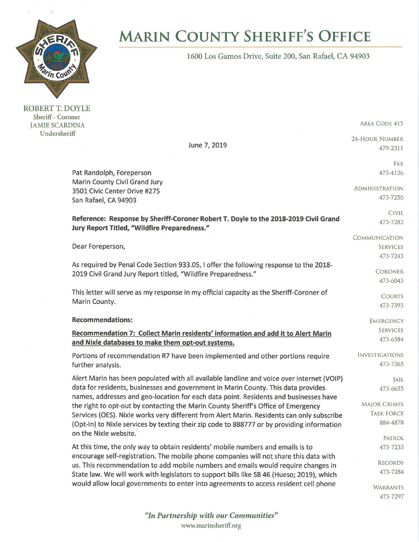

**MARIN COUNTY SHERIFF'S OFFICE** 

1600 Los Gamos Drive, Suite 200, San Rafael, CA 94903

ROBERT T. DOYLE Sheriff - Coroner JAMIE SCARDINA Undersheriff

AREA CODE 415

24-HOUR NUMBER

479-2311

473-7297

June 7, 2019

Pat Randolph, Foreperson Marin County Civil Grand Jury 3501 Civic Center Drive #275 San Rafael, CA 94903 **Reference: Response by Sheriff-Coroner Robert T. Doyle to the 2018-2019 Civil Grand Jury Report Titled, "Wildfire Preparedness."**  Dear Foreperson, As required by Penal Code Section 933.05, I offer the following response to the 2018- 2019 Civil Grand Jury Report titled, "Wildfire Preparedness." This letter will serve as my response in my official capacity as the Sheriff-Coroner of Marin County. **Recommendations: Recommendation 7: Collect Marin residents' information and add it to Alert Marin and Nixie databases to make them opt-out systems.**  Portions of recommendation R7 have been implemented and other portions require further analysis. Alert Marin has been populated with all available landline and voice over internet (VOIP) data for residents, businesses and government in Marin County. This data provides names, addresses and geo-location for each data point. Residents and businesses have the right to opt-out by contacting the Marin County Sheriff's Office of Emergency Services (OES). Nixle works very different from Alert Marin. Residents can only subscribe (Opt-In) to Nixie services by texting their zip code to 888777 or by providing information on the Nixie website. At this time, the only way to obtain residents' mobile numbers and emails is to encourage self-registration. The mobile phone companies will not share this data with us. This recommendation to add mobile numbers and emails would require changes in State law. We will work with legislators to support bills like SB 46 (Hueso; 2019), which would allow local governments to enter into agreements to access resident cell phone FAX 473-4126 ADMINISTRATION 473-7250 CIVIL 473-7282 **COMMUNICATION** SERVICES 473-7243 **CORONER** 473-6043 COURTS 473-7393 **EMERGENCY** SERVICES 473-6584 INVESTIGATIONS 473-7265 JAIL 473-6655 MAJOR CRIMES TASK FORCE 884-4878 PATROL 473-7233 RECORDS 473-7284 WARRANTS

> *"In Partnership with our Communities"*  www.marinsheriff.org